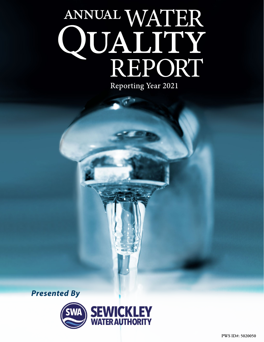# ANNUAL WATER QUALITY<br>REPORT

**STAR** 

Reporting Year 2021



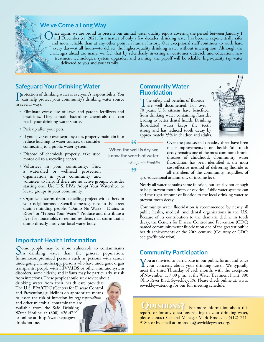

# **We've Come a Long Way**

nce again, we are proud to present our annual water quality report covering the period between January 1 and December 31, 2021. In a matter of only a few decades, drinking water has become exponentially safer and more reliable than at any other point in human history. Our exceptional staff continues to work hard every day—at all hours—to deliver the highest-quality drinking water without interruption. Although the challenges ahead are many, we feel that by relentlessly investing in customer outreach and education, new treatment technologies, system upgrades, and training, the payoff will be reliable, high-quality tap water delivered to you and your family.

**know the worth of water.**

 $99 -$ 

*—Benjamin Franklin*

# **Safeguard Your Drinking Water**

Protection of drinking water is everyone's responsibility. You can help protect your community's drinking water source in several ways:

- Eliminate excess use of lawn and garden fertilizers and pesticides. They contain hazardous chemicals that can reach your drinking water source.
- Pick up after your pets.
- If you have your own septic system, properly maintain it to reduce leaching to water sources, or consider connecting to a public water system. **When the well is dry, we**
- Dispose of chemicals properly; take used motor oil to a recycling center.
- Volunteer in your community. Find a watershed or wellhead protection organization in your community and volunteer to help. If there are no active groups, consider starting one. Use U.S. EPA's Adopt Your Watershed to locate groups in your community.
- Organize a storm drain stenciling project with others in your neighborhood. Stencil a message next to the street drain reminding people: "Dump No Waste – Drains to River" or "Protect Your Water." Produce and distribute a flyer for households to remind residents that storm drains dump directly into your local water body.

# **Important Health Information**

Some people may be more vulnerable to contaminants<br>In drinking water than the general population. Immunocompromised persons such as persons with cancer undergoing chemotherapy, persons who have undergone organ transplants, people with HIV/AIDS or other immune system disorders, some elderly, and infants may be particularly at risk

from infections. These people should seek advice about drinking water from their health care providers. The U.S. EPA/CDC (Centers for Disease Control and Prevention) guidelines on appropriate means to lessen the risk of infection by *cryptosporidium* and other microbial contaminants are available from the Safe Drinking Water Hotline at (800) 426-4791 or online at: [http://water.epa.gov/](http://water.epa.gov/drink/hotline) [drink/hotline](http://water.epa.gov/drink/hotline).

## **Community Water Fluoridation**

The safety and benefits of fluoride<br>are well documented. For over 70 years, U.S. citizens have benefited from drinking water containing fluoride, leading to better dental health. Drinking fluoridated water keeps the teeth strong and has reduced tooth decay by approximately 25% in children and adults.



Over the past several decades, there have been major improvements in oral health. Still, tooth decay remains one of the most common chronic diseases of childhood. Community water fluoridation has been identified as the most cost-effective method of delivering fluoride to all members of the community, regardless of

age, educational attainment, or income level.

Nearly all water contains some fluoride, but usually not enough to help prevent tooth decay or cavities. Public water systems can add the right amount of fluoride to the local drinking water to prevent tooth decay.

Community water fluoridation is recommended by nearly all public health, medical, and dental organizations in the U.S. Because of its contribution to the dramatic decline in tooth decay, the Centers for Disease Control and Prevention (CDC) named community water fluoridation one of the greatest public health achievements of the 20th century. (Courtesy of CDC: [cdc.gov/fluoridation](http://cdc.gov/fluoridation))

# **Community Participation**

You are invited to participate in our public forum and voice<br>your concerns about your drinking water. We typically<br>most the third Thursday of soch month with the quantity meet the third Thursday of each month, with the exception of November, at 7:00 p.m., at the Water Treatment Plant, 900 Ohio River Blvd. Sewickley, PA. Please check online at: [www.](http://www.sewickleywater.org) [sewickleywater.org](http://www.sewickleywater.org) for our full meeting schedule.

QUESTIONS? For more information about this report, or for any questions relating to your drinking water, please contact General Manager Mark Brooks at (412) 741- 9180, or by email at: [mbrooks@sewickleywater.org](mailto:mbrooks@sewickleywater.org).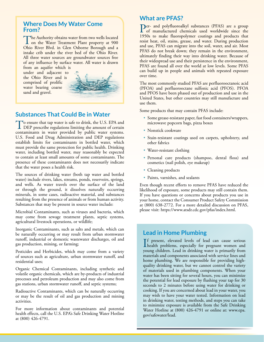## **Where Does My Water Come From?**

The Authority obtains water from two wells located<br>on the Water Treatment Plant property at 900<br>Obtain Plant, in Clan Orbanna Banauch and a Ohio River Blvd. in Glen Osborne Borough and a intake crib under the river bed of the Ohio River. All three water sources are groundwater sources free of any influence by surface water. All water is drawn

from an aquifer which is under and adjacent to the Ohio River and is comprised of prolific water bearing coarse sand and gravel.



## **Substances That Could Be in Water**

To ensure that tap water is safe to drink, the U.S. EPA and<br>DEP prescribe regulations limiting the amount of certain contaminants in water provided by public water systems. U.S. Food and Drug Administration and DEP regulations establish limits for contaminants in bottled water, which must provide the same protection for public health. Drinking water, including bottled water, may reasonably be expected to contain at least small amounts of some contaminants. The presence of these contaminants does not necessarily indicate that the water poses a health risk.

The sources of drinking water (both tap water and bottled water) include rivers, lakes, streams, ponds, reservoirs, springs, and wells. As water travels over the surface of the land or through the ground, it dissolves naturally occurring minerals, in some cases, radioactive material, and substances resulting from the presence of animals or from human activity. Substances that may be present in source water include:

Microbial Contaminants, such as viruses and bacteria, which may come from sewage treatment plants, septic systems, agricultural livestock operations, or wildlife;

Inorganic Contaminants, such as salts and metals, which can be naturally occurring or may result from urban stormwater runoff, industrial or domestic wastewater discharges, oil and gas production, mining, or farming;

Pesticides and Herbicides, which may come from a variety of sources such as agriculture, urban stormwater runoff, and residential uses;

Organic Chemical Contaminants, including synthetic and volatile organic chemicals, which are by-products of industrial processes and petroleum production and may also come from gas stations, urban stormwater runoff, and septic systems;

Radioactive Contaminants, which can be naturally occurring or may be the result of oil and gas production and mining activities.

For more information about contaminants and potential health effects, call the U.S. EPA's Safe Drinking Water Hotline at (800) 426-4791.

## **What are PFAS?**

Per- and polyfluoroalkyl substances (PFAS) are a group of manufactured chemicals used worldwide since the 1950s to make fluoropolymer coatings and products that resist heat, oil, stains, grease, and water. During production and use, PFAS can migrate into the soil, water, and air. Most PFAS do not break down; they remain in the environment, ultimately finding their way into drinking water. Because of their widespread use and their persistence in the environment, PFAS are found all over the world at low levels. Some PFAS can build up in people and animals with repeated exposure over time.

The most commonly studied PFAS are perfluorooctanoic acid (PFOA) and perfluorooctane sulfonic acid (PFOS). PFOA and PFOS have been phased out of production and use in the United States, but other countries may still manufacture and use them.

Some products that may contain PFAS include:

- Some grease-resistant paper, fast food containers/wrappers, microwave popcorn bags, pizza boxes
- Nonstick cookware
- Stain-resistant coatings used on carpets, upholstery, and other fabrics
- Water-resistant clothing
- Personal care products (shampoo, dental floss) and cosmetics (nail polish, eye makeup)
- Cleaning products
- Paints, varnishes, and sealants

Even though recent efforts to remove PFAS have reduced the likelihood of exposure, some products may still contain them. If you have questions or concerns about products you use in your home, contact the Consumer Product Safety Commission at (800) 638-2772. For a more detailed discussion on PFAS, please visit: [https://www.atsdr.cdc.gov/pfas/index.html.](https://www.atsdr.cdc.gov/pfas/index.html)

## **Lead in Home Plumbing**

If present, elevated levels of lead can cause serious<br>health problems, especially for pregnant women and<br>www.particless.com/indianally/seriousf present, elevated levels of lead can cause serious young children. Lead in drinking water is primarily from materials and components associated with service lines and home plumbing. We are responsible for providing highquality drinking water, but we cannot control the variety of materials used in plumbing components. When your water has been sitting for several hours, you can minimize the potential for lead exposure by flushing your tap for 30 seconds to 2 minutes before using water for drinking or cooking. If you are concerned about lead in your water, you may wish to have your water tested. Information on lead in drinking water, testing methods, and steps you can take to minimize exposure is available from the Safe Drinking Water Hotline at (800) 426-4791 or online at: [www.epa.](http://www.epa.gov/safewater/lead) [gov/safewater/lead](http://www.epa.gov/safewater/lead).